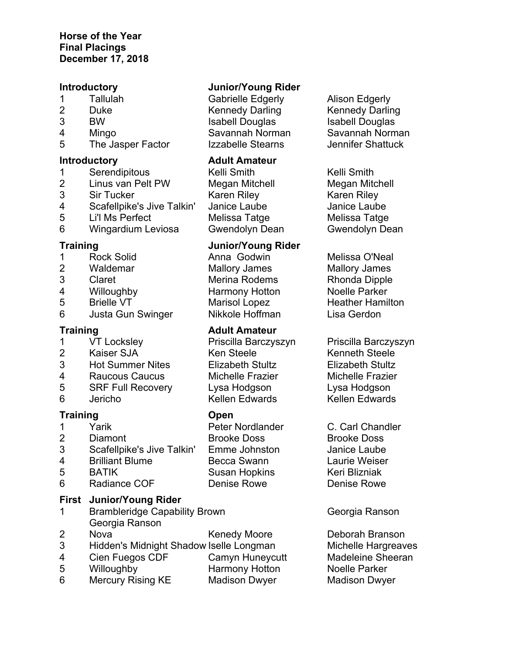- 
- 
- 
- 5 The Jasper Factor Izzabelle Stearns Jennifer Shattuck

- 
- 
- 
- 4 Scafellpike's Jive Talkin' Janice Laube Janice Laube
- 5 Li'l Ms Perfect Melissa Tatge Melissa Tatge
- 6 Wingardium Leviosa Gwendolyn Dean Gwendolyn Dean

- 
- 
- 
- 
- 
- 6 Justa Gun Swinger Nikkole Hoffman Lisa Gerdon

- 
- 
- 3 Hot Summer Nites Elizabeth Stultz Elizabeth Stultz
- 4 Raucous Caucus Michelle Frazier Michelle Frazier
- 5 SRF Full Recovery Lysa Hodgson Lysa Hodgson
- 

# **Training Open**

- 
- 
- 3 Scafellpike's Jive Talkin' Emme Johnston Janice Laube
- 4 Brilliant Blume Becca Swann Laurie Weiser
- 
- 6 Radiance COF Denise Rowe Denise Rowe

# **First Junior/Young Rider**

- 1 Brambleridge Capability Brown Georgia Ranson Georgia Ranson
- 
- 3 Hidden's Midnight Shadow Iselle Longman Michelle Hargreaves
- 4 Cien Fuegos CDF Camyn Huneycutt Madeleine Sheeran
- 5 Willoughby Harmony Hotton Noelle Parker
- 6 Mercury Rising KE Madison Dwyer Madison Dwyer

# **Introductory Junior/Young Rider**

1 Tallulah Gabrielle Edgerly Alison Edgerly 2 Duke Kennedy Darling Kennedy Darling 3 BW Isabell Douglas Isabell Douglas Isabell Douglas 4 Mingo Savannah Norman Savannah Norman

# **Introductory Adult Amateur**

1 Serendipitous Kelli Smith Kelli Smith<br>2 Linus van Pelt PW Megan Mitchell Megan Mitch Megan Mitchell **Megan Mitchell** 3 Sir Tucker Karen Riley Karen Riley

# **Training Junior/Young Rider**

1 Rock Solid Anna Godwin Melissa O'Neal 2 Waldemar Mallory James Mallory James 3 Claret Merina Rodems Rhonda Dipple 4 Willoughby Harmony Hotton Noelle Parker 5 Brielle VT Marisol Lopez Heather Hamilton

# **Training Communist Communist Adult Amateur**

2 Kaiser SJA Ken Steele Kenneth Steele 6 Jericho Kellen Edwards Kellen Edwards

1 Yarik Peter Nordlander C. Carl Chandler 2 Diamont Brooke Doss Brooke Doss 5 BATIK Susan Hopkins Keri Blizniak

- 
- 

1 VT Locksley Priscilla Barczyszyn Priscilla Barczyszyn

2 Nova **Kenedy Moore** Deborah Branson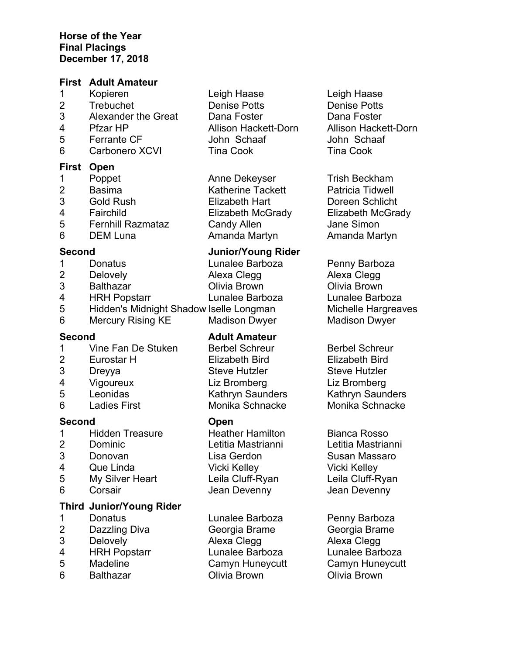### **First Adult Amateur**

- 1 Kopieren Leigh Haase Leigh Haase
- 
- 3 Alexander the Great Dana Foster Dana Foster
- 
- 
- 6 Carbonero XCVI Tina Cook Tina Cook

### **First Open**

- 
- 
- 
- 
- 5 Fernhill Razmataz Candy Allen Jane Simon
- 

- 
- 
- 
- 
- 
- 6 Mercury Rising KE Madison Dwyer Madison Dwyer

- 1 Vine Fan De Stuken Berbel Schreur Berbel Schreur
- 2 Eurostar H Elizabeth Bird Elizabeth Bird
- 
- 
- 
- 6 Ladies First Monika Schnacke Monika Schnacke

# **Second Open**

- 1 Hidden Treasure **Heather Hamilton** Bianca Rosso
- 
- 
- 
- 5 My Silver Heart Leila Cluff-Ryan Leila Cluff-Ryan
- 

# **Third Junior/Young Rider**

- 
- 2 Dazzling Diva Georgia Brame Georgia Brame
- 
- 4 HRH Popstarr Lunalee Barboza Lunalee Barboza
- 
- 
- 2 Trebuchet Denise Potts Denise Potts 4 Pfzar HP Allison Hackett-Dorn Allison Hackett-Dorn 5 Ferrante CF John Schaaf John Schaaf
- 1 Poppet **Anne Dekeyser** Trish Beckham 2 Basima Katherine Tackett Patricia Tidwell 3 Gold Rush Elizabeth Hart Doreen Schlicht 4 Fairchild Elizabeth McGrady Elizabeth McGrady 6 DEM Luna Amanda Martyn Amanda Martyn

# **Second Junior/Young Rider**

1 Donatus **Lunalee Barboza** Penny Barboza 2 Delovely **Alexa Clegg Alexa Clegg** Alexa Clegg 3 Balthazar Olivia Brown Olivia Brown 4 HRH Popstarr Lunalee Barboza Lunalee Barboza 5 Hidden's Midnight Shadow Iselle Longman Michelle Hargreaves

# **Second Adult Amateur**

3 Dreyya Steve Hutzler Steve Hutzler 4 Vigoureux Liz Bromberg Liz Bromberg 5 Leonidas Kathryn Saunders Kathryn Saunders

 Dominic Letitia Mastrianni Letitia Mastrianni Donovan Lisa Gerdon Susan Massaro Que Linda Vicki Kelley Vicki Kelley Corsair Jean Devenny Jean Devenny

1 Donatus **Lunalee Barboza** Penny Barboza 3 Delovely Alexa Clegg Alexa Clegg 6 Balthazar Olivia Brown Olivia Brown

5 Madeline Camyn Huneycutt Camyn Huneycutt

- 
- 
- 
- 
- 
-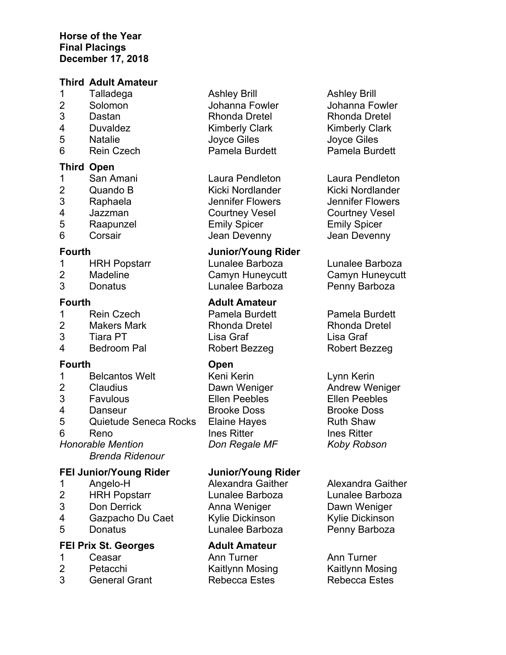### **Third Adult Amateur**

- 1 Talladega Ashley Brill Ashley Brill
- 
- 
- 
- 
- 6 Rein Czech Pamela Burdett Pamela Burdett

# **Third Open**

- 
- 
- 
- 
- 
- 

- 1 HRH Popstarr Lunalee Barboza Lunalee Barboza
- 
- 

- 
- 
- 3 Tiara PT Lisa Graf Lisa Graf
- 4 Bedroom Pal Robert Bezzeg Robert Bezzeg

# **Fourth Open**

- 1 Belcantos Welt Keni Kerin Kerin Lynn Kerin
- 
- 
- 
- 5 Quietude Seneca Rocks Elaine Hayes **Ruth Shaw**
- 
- 

*Brenda Ridenour*

# **FEI Junior/Young Rider Junior/Young Rider**

- 
- 2 HRH Popstarr Lunalee Barboza Lunalee Barboza
- 3 Don Derrick Anna Weniger Dawn Weniger
- 4 Gazpacho Du Caet Kylie Dickinson Kylie Dickinson
- 

# **FEI Prix St. Georges Adult Amateur**

- 
- 
- 3 General Grant Rebecca Estes Rebecca Estes
- 
- 4 Duvaldez Kimberly Clark Kimberly Clark
	-

 San Amani Laura Pendleton Laura Pendleton 2 Quando B Kicki Nordlander Kicki Nordlander<br>3 Raphaela Mennifer Flowers Jennifer Flowers Raphaela Jennifer Flowers Jennifer Flowers Jazzman Courtney Vesel Courtney Vesel Raapunzel Emily Spicer Emily Spicer Corsair Jean Devenny Jean Devenny

# **Fourth Junior/Young Rider**

2 Madeline Camyn Huneycutt Camyn Huneycutt 3 Donatus Lunalee Barboza Penny Barboza

# **Fourth Adult Amateur**

2 Makers Mark Rhonda Dretel Rhonda Dretel

2 Claudius Dawn Weniger Andrew Weniger 3 Favulous Ellen Peebles Ellen Peebles 4 Danseur Brooke Doss Brooke Doss 6 Reno Ines Ritter Ines Ritter Ines Ritter *Honorable Mention Don Regale MF Koby Robson*

5 Donatus Lunalee Barboza Penny Barboza

1 Ceasar Ann Turner Ann Turner Petacchi Kaitlynn Mosing Kaitlynn Mosing Kaitlynn Mosing

2 Solomon Johanna Fowler Johanna Fowler 3 Dastan Rhonda Dretel Rhonda Dretel 5 Natalie Joyce Giles Joyce Giles

1 Rein Czech Pamela Burdett Pamela Burdett

1 Angelo-H Alexandra Gaither Alexandra Gaither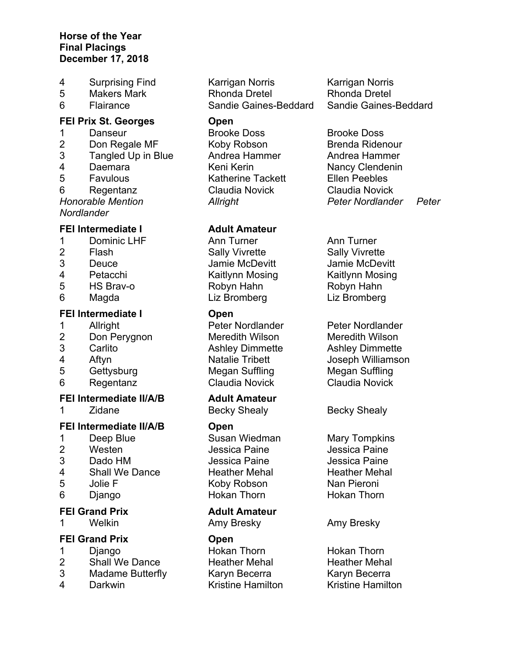- 
- 
- 

# **FEI Prix St. Georges Open**

1 Danseur Brooke Doss Brooke Doss 2 Don Regale MF Koby Robson Brenda Ridenour 3 Tangled Up in Blue Andrea Hammer Andrea Hammer 4 Daemara Keni Kerin Kerin Nancy Clendenin 5 Favulous Katherine Tackett Ellen Peebles 6 Regentanz Claudia Novick Claudia Novick *Honorable Mention Allright Peter Nordlander Peter* 

*Nordlander*

- 1 Dominic LHF **Ann Turner** Ann Turner Ann Turner
- 
- 
- 
- 
- 

# **FEI Intermediate I Open**

- 
- 2 Don Perygnon Meredith Wilson Meredith Wilson
- 
- 
- 
- 

# **FEI Intermediate II/A/B Adult Amateur**

1 Zidane Becky Shealy Becky Shealy

# **FEI Intermediate II/A/B Open**

- 1 Deep Blue Susan Wiedman Mary Tompkins
- 
- 
- 4 Shall We Dance Heather Mehal Heather Mehal
- 
- 

# **FEI Grand Prix Adult Amateur**

1 Welkin **Amy Bresky** Amy Bresky Amy Bresky

# **FEI Grand Prix Open**

- 
- 
- 
- 

4 Surprising Find Karrigan Norris Karrigan Norris 5 Makers Mark Rhonda Dretel Rhonda Dretel

# **FEI Intermediate I Adult Amateur**

2 Flash Sally Vivrette Sally Vivrette 3 Deuce Jamie McDevitt Jamie McDevitt 4 Petacchi Kaitlynn Mosing Kaitlynn Mosing Kaitlynn Mosing 5 HS Brav-o Robyn Hahn Robyn Hahn 6 Magda Liz Bromberg Liz Bromberg

1 Allright Peter Nordlander Peter Nordlander 3 Carlito Ashley Dimmette Ashley Dimmette 5 Gettysburg Megan Suffling Megan Suffling 6 Regentanz Claudia Novick Claudia Novick

2 Westen Jessica Paine Jessica Paine 3 Dado HM Jessica Paine Jessica Paine 5 Jolie F Koby Robson Nan Pieroni 6 Django **Hokan Thorn** Hokan Thorn Hokan Thorn

1 Diango **Hokan Thorn** Hokan Thorn Hokan Thorn 2 Shall We Dance **Heather Mehal** Heather Mehal<br>3 Madame Butterfly Karvn Becerra Karvn Becerra Madame Butterfly Karyn Becerra Karyn Becerra 4 Darkwin Kristine Hamilton Kristine Hamilton

6 Flairance Sandie Gaines-Beddard Sandie Gaines-Beddard

4 Aftyn Natalie Tribett Joseph Williamson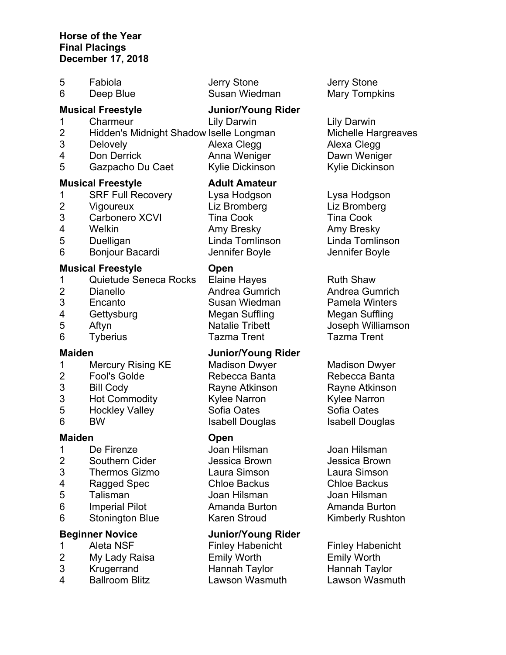| 6<br>Deep Blue                                                                                                                                                                                                                       | Susan Wiedman<br><b>Mary Tompkins</b>                                                                                                                                            |
|--------------------------------------------------------------------------------------------------------------------------------------------------------------------------------------------------------------------------------------|----------------------------------------------------------------------------------------------------------------------------------------------------------------------------------|
| <b>Musical Freestyle</b>                                                                                                                                                                                                             | <b>Junior/Young Rider</b>                                                                                                                                                        |
| Charmeur<br><b>Lily Darwin</b><br>1<br>$\overline{2}$<br>Hidden's Midnight Shadow Iselle Longman<br>3<br>Delovely<br>Alexa Clegg<br>4<br>Don Derrick<br>5<br>Gazpacho Du Caet                                                        | <b>Lily Darwin</b><br>Michelle Hargreaves<br>Alexa Clegg<br>Anna Weniger<br>Dawn Weniger<br>Kylie Dickinson<br>Kylie Dickinson                                                   |
| <b>Musical Freestyle</b><br><b>SRF Full Recovery</b><br>$\mathbf 1$<br>$\overline{2}$<br>Liz Bromberg<br>Vigoureux<br>3<br>Carbonero XCVI<br><b>Tina Cook</b><br>4<br>Welkin<br>Amy Bresky<br>5<br>Duelligan<br>6<br>Bonjour Bacardi | <b>Adult Amateur</b><br>Lysa Hodgson<br>Lysa Hodgson<br>Liz Bromberg<br><b>Tina Cook</b><br>Amy Bresky<br>Linda Tomlinson<br>Linda Tomlinson<br>Jennifer Boyle<br>Jennifer Boyle |
| <b>Musical Freestyle</b><br>Open                                                                                                                                                                                                     |                                                                                                                                                                                  |
| Quietude Seneca Rocks<br><b>Elaine Hayes</b><br>1                                                                                                                                                                                    | <b>Ruth Shaw</b>                                                                                                                                                                 |
| $\overline{2}$<br><b>Dianello</b><br>3<br>Susan Wiedman<br>Encanto                                                                                                                                                                   | Andrea Gumrich<br>Andrea Gumrich<br><b>Pamela Winters</b>                                                                                                                        |

- 
- 
- Tyberius Tazma Trent Tazma Trent

# **Maiden Junior/Young Rider**

- Mercury Rising KE Madison Dwyer Madison Dwyer
- 
- 
- 3 Hot Commodity **Kylee Narron** Kylee Narron
- 5 Hockley Valley Sofia Oates Sofia Oates
- 

# **Maiden Open**

- De Firenze Joan Hilsman Joan Hilsman
- Southern Cider Jessica Brown Jessica Brown
- Thermos Gizmo Laura Simson Laura Simson
- Ragged Spec Chloe Backus Chloe Backus
- Talisman Joan Hilsman Joan Hilsman
- Imperial Pilot Amanda Burton Amanda Burton
- 6 Stonington Blue Karen Stroud Kimberly Rushton

- 
- My Lady Raisa Emily Worth Emily Worth
- 
- Ballroom Blitz Lawson Wasmuth Lawson Wasmuth

# **Beginner Novice Junior/Young Rider**

1 Aleta NSF Finley Habenicht Finley Habenicht Krugerrand Hannah Taylor Hannah Taylor

Fabiola Jerry Stone Jerry Stone

4 Gettysburg Megan Suffling Megan Suffling Aftyn Natalie Tribett Joseph Williamson

 Fool's Golde Rebecca Banta Rebecca Banta Bill Cody Rayne Atkinson Rayne Atkinson 6 BW Isabell Douglas Isabell Douglas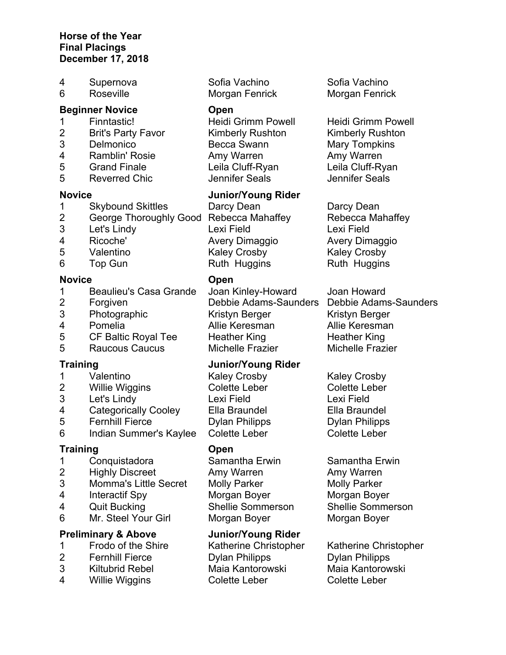| 4 | Supernova              | Sofia Vachino             | Sofia Vachino             |
|---|------------------------|---------------------------|---------------------------|
| 6 | Roseville              | Morgan Fenrick            | Morgan Fenrick            |
|   | <b>Beginner Novice</b> | <b>Open</b>               |                           |
|   | Finntastic!            | <b>Heidi Grimm Powell</b> | <b>Heidi Grimm Powell</b> |

2 Brit's Party Favor Kimberly Rushton Kimberly Rushton Delmonico Becca Swann Mary Tompkins Ramblin' Rosie Amy Warren Amy Warren Grand Finale Leila Cluff-Ryan Leila Cluff-Ryan

# **Novice Junior/Young Rider**

1 Skybound Skittles Darcy Dean Darcy Dean 3 Let's Lindy Lexi Field Lexi Field 4 Ricoche' Avery Dimaggio Avery Dimaggio 5 Valentino Kaley Crosby Kaley Crosby 6 Top Gun Ruth Huggins Ruth Huggins

 Photographic Kristyn Berger Kristyn Berger Pomelia Allie Keresman Allie Keresman 5 CF Baltic Royal Tee Heather King Heather King Raucous Caucus Michelle Frazier Michelle Frazier

# **Training Junior/Young Rider**

1 Valentino Kaley Crosby Kaley Crosby 2 Willie Wiggins Colette Leber Colette Leber

4 Interactif Spy Morgan Boyer Morgan Boyer 4 Quit Bucking Shellie Sommerson Shellie Sommerson

2 Fernhill Fierce Dylan Philipps Dylan Philipps 3 Kiltubrid Rebel Maia Kantorowski Maia Kantorowski 4 Willie Wiggins Colette Leber Colette Leber

5 Reverred Chic Jennifer Seals Jennifer Seals

2 George Thoroughly Good Rebecca Mahaffey Rebecca Mahaffey

2 Forgiven Debbie Adams-Saunders Debbie Adams-Saunders

### **Novice Open**

- 1 Beaulieu's Casa Grande Joan Kinley-Howard Joan Howard
- 
- 
- 
- 
- 

- 
- 
- 3 Let's Lindy Lexi Field Lexi Field
- 4 Categorically Cooley Ella Braundel Ella Braundel
- 5 Fernhill Fierce Dylan Philipps Dylan Philipps
- 6 Indian Summer's Kaylee Colette Leber Colette Leber

### **Training Open**

- 1 Conquistadora Samantha Erwin Samantha Erwin
- 2 Highly Discreet Amy Warren Amy Warren
- 3 Momma's Little Secret Molly Parker Molly Parker
- 
- 
- 6 Mr. Steel Your Girl Morgan Boyer Morgan Boyer

# **Preliminary & Above Junior/Young Rider**

- 1 Frodo of the Shire Katherine Christopher Katherine Christopher
- 
- 
-